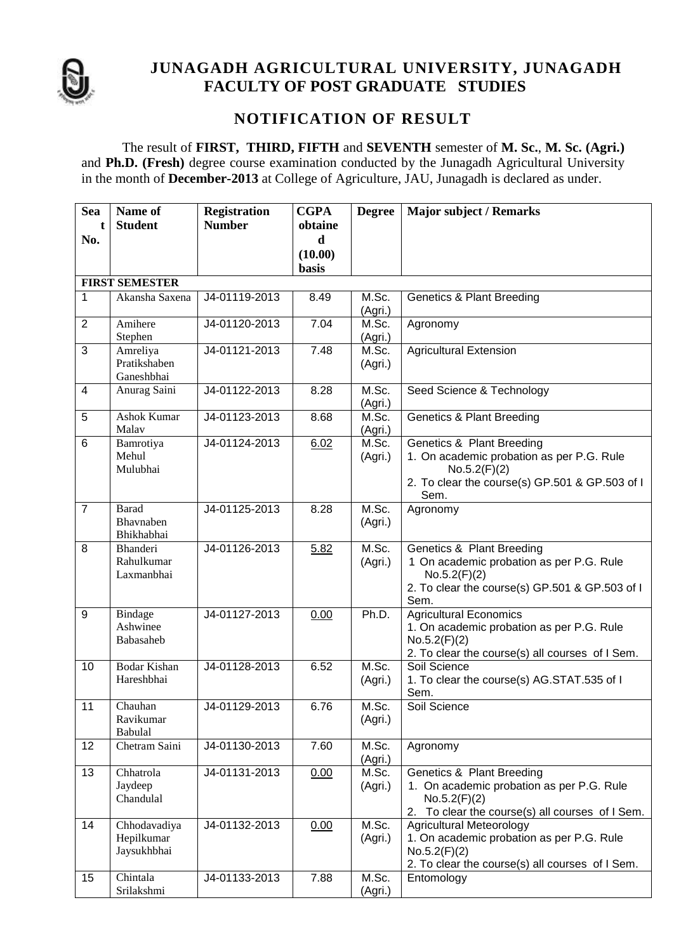

#### **JUNAGADH AGRICULTURAL UNIVERSITY, JUNAGADH FACULTY OF POST GRADUATE STUDIES**

#### **NOTIFICATION OF RESULT**

The result of **FIRST, THIRD, FIFTH** and **SEVENTH** semester of **M. Sc.**, **M. Sc. (Agri.)** and **Ph.D. (Fresh)** degree course examination conducted by the Junagadh Agricultural University in the month of **December-2013** at College of Agriculture, JAU, Junagadh is declared as under.

| <b>Sea</b>      | Name of                                     | <b>Registration</b> | <b>CGPA</b> | <b>Degree</b>    | <b>Major subject / Remarks</b>                                                                                                                       |  |
|-----------------|---------------------------------------------|---------------------|-------------|------------------|------------------------------------------------------------------------------------------------------------------------------------------------------|--|
|                 | <b>Student</b>                              | <b>Number</b>       | obtaine     |                  |                                                                                                                                                      |  |
| No.             |                                             |                     | d           |                  |                                                                                                                                                      |  |
|                 |                                             |                     | (10.00)     |                  |                                                                                                                                                      |  |
|                 |                                             |                     | basis       |                  |                                                                                                                                                      |  |
|                 | <b>FIRST SEMESTER</b>                       |                     |             |                  |                                                                                                                                                      |  |
| 1               | Akansha Saxena                              | J4-01119-2013       | 8.49        | M.Sc.<br>(Agri.) | <b>Genetics &amp; Plant Breeding</b>                                                                                                                 |  |
| $\overline{2}$  | Amihere<br>Stephen                          | J4-01120-2013       | 7.04        | M.Sc.<br>(Agri.) | Agronomy                                                                                                                                             |  |
| 3               | Amreliya<br>Pratikshaben<br>Ganeshbhai      | J4-01121-2013       | 7.48        | M.Sc.<br>(Agri.) | <b>Agricultural Extension</b>                                                                                                                        |  |
| $\overline{4}$  | Anurag Saini                                | J4-01122-2013       | 8.28        | M.Sc.<br>(Agri.) | Seed Science & Technology                                                                                                                            |  |
| 5               | <b>Ashok Kumar</b><br>Malav                 | J4-01123-2013       | 8.68        | M.Sc.<br>(Agri.) | <b>Genetics &amp; Plant Breeding</b>                                                                                                                 |  |
| $6\phantom{1}$  | Bamrotiya<br>Mehul<br>Mulubhai              | J4-01124-2013       | 6.02        | M.Sc.<br>(Agri.) | Genetics & Plant Breeding<br>1. On academic probation as per P.G. Rule<br>No.5.2(F)(2)<br>2. To clear the course(s) GP.501 & GP.503 of I<br>Sem.     |  |
| $\overline{7}$  | <b>Barad</b><br>Bhavnaben<br>Bhikhabhai     | J4-01125-2013       | 8.28        | M.Sc.<br>(Agri.) | Agronomy                                                                                                                                             |  |
| 8               | <b>Bhanderi</b><br>Rahulkumar<br>Laxmanbhai | J4-01126-2013       | 5.82        | M.Sc.<br>(Agri.) | Genetics & Plant Breeding<br>1 On academic probation as per P.G. Rule<br>No.5.2(F)(2)<br>2. To clear the course(s) GP.501 & GP.503 of I<br>Sem.      |  |
| 9               | Bindage<br>Ashwinee<br>Babasaheb            | J4-01127-2013       | 0.00        | Ph.D.            | <b>Agricultural Economics</b><br>1. On academic probation as per P.G. Rule<br>No.5.2(F)(2)<br>2. To clear the course(s) all courses of I Sem.        |  |
| 10              | <b>Bodar Kishan</b><br>Hareshbhai           | J4-01128-2013       | 6.52        | M.Sc.<br>(Agri.) | Soil Science<br>1. To clear the course(s) AG.STAT.535 of I<br>Sem.                                                                                   |  |
| 11              | Chauhan<br>Ravikumar<br>Babulal             | J4-01129-2013       | 6.76        | M.Sc.<br>(Agri.) | Soil Science                                                                                                                                         |  |
| 12              | Chetram Saini                               | J4-01130-2013       | 7.60        | M.Sc.<br>(Agri.) | Agronomy                                                                                                                                             |  |
| $\overline{13}$ | Chhatrola<br>Jaydeep<br>Chandulal           | J4-01131-2013       | 0.00        | M.Sc.<br>(Agri.) | <b>Genetics &amp; Plant Breeding</b><br>1. On academic probation as per P.G. Rule<br>No.5.2(F)(2)<br>2. To clear the course(s) all courses of I Sem. |  |
| 14              | Chhodavadiya<br>Hepilkumar<br>Jaysukhbhai   | J4-01132-2013       | 0.00        | M.Sc.<br>(Agri.) | <b>Agricultural Meteorology</b><br>1. On academic probation as per P.G. Rule<br>No.5.2(F)(2)<br>2. To clear the course(s) all courses of I Sem.      |  |
| 15              | Chintala<br>Srilakshmi                      | J4-01133-2013       | 7.88        | M.Sc.<br>(Agri.) | Entomology                                                                                                                                           |  |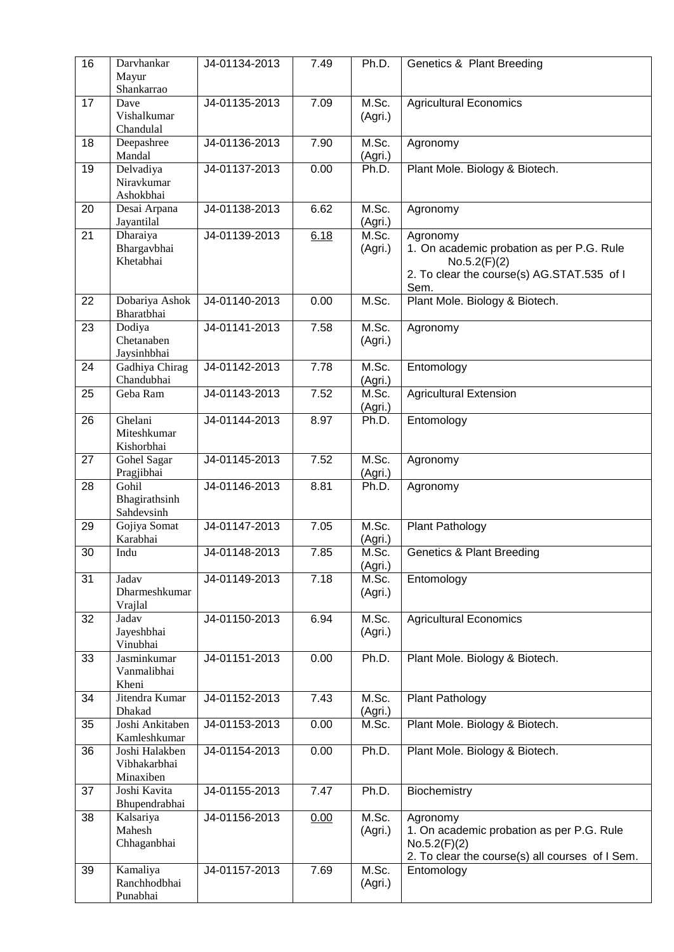| 16 | Darvhankar<br>Mayur<br>Shankarrao           | J4-01134-2013 | 7.49 | Ph.D.            | Genetics & Plant Breeding                                                                                                   |  |
|----|---------------------------------------------|---------------|------|------------------|-----------------------------------------------------------------------------------------------------------------------------|--|
| 17 | Dave<br>Vishalkumar<br>Chandulal            | J4-01135-2013 | 7.09 | M.Sc.<br>(Agri.) | <b>Agricultural Economics</b>                                                                                               |  |
| 18 | Deepashree<br>Mandal                        | J4-01136-2013 | 7.90 | M.Sc.<br>(Agri.) | Agronomy                                                                                                                    |  |
| 19 | Delvadiya<br>Niravkumar<br>Ashokbhai        | J4-01137-2013 | 0.00 | Ph.D.            | Plant Mole. Biology & Biotech.                                                                                              |  |
| 20 | Desai Arpana<br>Jayantilal                  | J4-01138-2013 | 6.62 | M.Sc.<br>(Agri.) | Agronomy                                                                                                                    |  |
| 21 | Dharaiya<br>Bhargavbhai<br>Khetabhai        | J4-01139-2013 | 6.18 | M.Sc.<br>(Agri.) | Agronomy<br>1. On academic probation as per P.G. Rule<br>No.5.2(F)(2)<br>2. To clear the course(s) AG.STAT.535 of I<br>Sem. |  |
| 22 | Dobariya Ashok<br>Bharatbhai                | J4-01140-2013 | 0.00 | M.Sc.            | Plant Mole. Biology & Biotech.                                                                                              |  |
| 23 | Dodiya<br>Chetanaben<br>Jaysinhbhai         | J4-01141-2013 | 7.58 | M.Sc.<br>(Agri.) | Agronomy                                                                                                                    |  |
| 24 | Gadhiya Chirag<br>Chandubhai                | J4-01142-2013 | 7.78 | M.Sc.<br>(Agri.) | Entomology                                                                                                                  |  |
| 25 | Geba Ram                                    | J4-01143-2013 | 7.52 | M.Sc.<br>(Agri.) | <b>Agricultural Extension</b>                                                                                               |  |
| 26 | Ghelani<br>Miteshkumar<br>Kishorbhai        | J4-01144-2013 | 8.97 | Ph.D.            | Entomology                                                                                                                  |  |
| 27 | Gohel Sagar<br>Pragjibhai                   | J4-01145-2013 | 7.52 | M.Sc.<br>(Agri.) | Agronomy                                                                                                                    |  |
| 28 | Gohil<br>Bhagirathsinh<br>Sahdevsinh        | J4-01146-2013 | 8.81 | Ph.D.            | Agronomy                                                                                                                    |  |
| 29 | Gojiya Somat<br>Karabhai                    | J4-01147-2013 | 7.05 | M.Sc.<br>(Agri.) | Plant Pathology                                                                                                             |  |
| 30 | Indu                                        | J4-01148-2013 | 7.85 | M.Sc.<br>(Agri.) | <b>Genetics &amp; Plant Breeding</b>                                                                                        |  |
| 31 | Jadav<br>Dharmeshkumar<br>Vrajlal           | J4-01149-2013 | 7.18 | M.Sc.<br>(Agri.) | Entomology                                                                                                                  |  |
| 32 | Jadav<br>Jayeshbhai<br>Vinubhai             | J4-01150-2013 | 6.94 | M.Sc.<br>(Agri.) | Agricultural Economics                                                                                                      |  |
| 33 | Jasminkumar<br>Vanmalibhai<br>Kheni         | J4-01151-2013 | 0.00 | Ph.D.            | Plant Mole. Biology & Biotech.                                                                                              |  |
| 34 | Jitendra Kumar<br>Dhakad                    | J4-01152-2013 | 7.43 | M.Sc.<br>(Agri.) | Plant Pathology                                                                                                             |  |
| 35 | Joshi Ankitaben<br>Kamleshkumar             | J4-01153-2013 | 0.00 | M.Sc.            | Plant Mole. Biology & Biotech.                                                                                              |  |
| 36 | Joshi Halakben<br>Vibhakarbhai<br>Minaxiben | J4-01154-2013 | 0.00 | Ph.D.            | Plant Mole. Biology & Biotech.                                                                                              |  |
| 37 | Joshi Kavita<br>Bhupendrabhai               | J4-01155-2013 | 7.47 | Ph.D.            | Biochemistry                                                                                                                |  |
| 38 | Kalsariya<br>Mahesh<br>Chhaganbhai          | J4-01156-2013 | 0.00 | M.Sc.<br>(Agri.) | Agronomy<br>1. On academic probation as per P.G. Rule<br>No.5.2(F)(2)<br>2. To clear the course(s) all courses of I Sem.    |  |
| 39 | Kamaliya<br>Ranchhodbhai<br>Punabhai        | J4-01157-2013 | 7.69 | M.Sc.<br>(Agri.) | Entomology                                                                                                                  |  |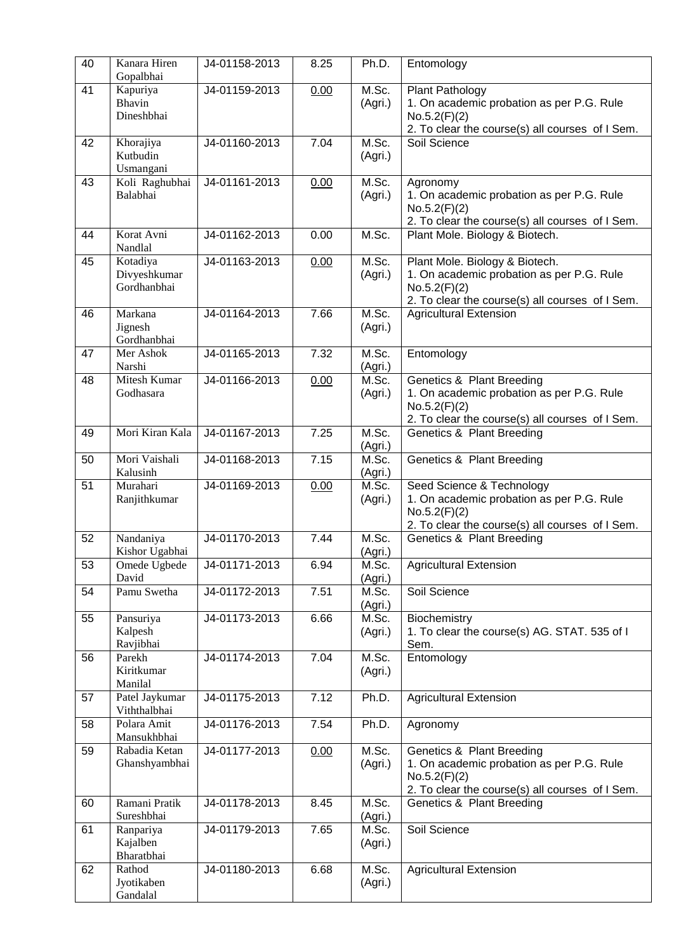| 40 | Kanara Hiren<br>Gopalbhai               | J4-01158-2013 | 8.25 | Ph.D.            | Entomology                                                                                                                                           |
|----|-----------------------------------------|---------------|------|------------------|------------------------------------------------------------------------------------------------------------------------------------------------------|
| 41 | Kapuriya<br>Bhavin<br>Dineshbhai        | J4-01159-2013 | 0.00 | M.Sc.<br>(Agri.) | Plant Pathology<br>1. On academic probation as per P.G. Rule<br>No.5.2(F)(2)<br>2. To clear the course(s) all courses of I Sem.                      |
| 42 | Khorajiya<br>Kutbudin<br>Usmangani      | J4-01160-2013 | 7.04 | M.Sc.<br>(Agri.) | Soil Science                                                                                                                                         |
| 43 | Koli Raghubhai<br>Balabhai              | J4-01161-2013 | 0.00 | M.Sc.<br>(Agri.) | Agronomy<br>1. On academic probation as per P.G. Rule<br>No.5.2(F)(2)<br>2. To clear the course(s) all courses of I Sem.                             |
| 44 | Korat Avni<br>Nandlal                   | J4-01162-2013 | 0.00 | M.Sc.            | Plant Mole. Biology & Biotech.                                                                                                                       |
| 45 | Kotadiya<br>Divyeshkumar<br>Gordhanbhai | J4-01163-2013 | 0.00 | M.Sc.<br>(Agri.) | Plant Mole. Biology & Biotech.<br>1. On academic probation as per P.G. Rule<br>No.5.2(F)(2)<br>2. To clear the course(s) all courses of I Sem.       |
| 46 | Markana<br>Jignesh<br>Gordhanbhai       | J4-01164-2013 | 7.66 | M.Sc.<br>(Agri.) | <b>Agricultural Extension</b>                                                                                                                        |
| 47 | Mer Ashok<br>Narshi                     | J4-01165-2013 | 7.32 | M.Sc.<br>(Agri.) | Entomology                                                                                                                                           |
| 48 | Mitesh Kumar<br>Godhasara               | J4-01166-2013 | 0.00 | M.Sc.<br>(Agri.) | <b>Genetics &amp; Plant Breeding</b><br>1. On academic probation as per P.G. Rule<br>No.5.2(F)(2)<br>2. To clear the course(s) all courses of I Sem. |
| 49 | Mori Kiran Kala                         | J4-01167-2013 | 7.25 | M.Sc.<br>(Agri.) | Genetics & Plant Breeding                                                                                                                            |
| 50 | Mori Vaishali<br>Kalusinh               | J4-01168-2013 | 7.15 | M.Sc.<br>(Agri.) | Genetics & Plant Breeding                                                                                                                            |
| 51 | Murahari<br>Ranjithkumar                | J4-01169-2013 | 0.00 | M.Sc.<br>(Agri.) | Seed Science & Technology<br>1. On academic probation as per P.G. Rule<br>No.5.2(F)(2)<br>2. To clear the course(s) all courses of I Sem.            |
| 52 | Nandaniya<br>Kishor Ugabhai             | J4-01170-2013 | 7.44 | M.Sc.<br>(Agri.) | Genetics & Plant Breeding                                                                                                                            |
| 53 | Omede Ugbede<br>David                   | J4-01171-2013 | 6.94 | M.Sc.<br>(Agri.) | <b>Agricultural Extension</b>                                                                                                                        |
| 54 | Pamu Swetha                             | J4-01172-2013 | 7.51 | M.Sc.<br>(Agri.) | Soil Science                                                                                                                                         |
| 55 | Pansuriya<br>Kalpesh<br>Ravjibhai       | J4-01173-2013 | 6.66 | M.Sc.<br>(Agri.) | Biochemistry<br>1. To clear the course(s) AG. STAT. 535 of I<br>Sem.                                                                                 |
| 56 | Parekh<br>Kiritkumar<br>Manilal         | J4-01174-2013 | 7.04 | M.Sc.<br>(Agri.) | Entomology                                                                                                                                           |
| 57 | Patel Jaykumar<br>Viththalbhai          | J4-01175-2013 | 7.12 | Ph.D.            | <b>Agricultural Extension</b>                                                                                                                        |
| 58 | Polara Amit<br>Mansukhbhai              | J4-01176-2013 | 7.54 | Ph.D.            | Agronomy                                                                                                                                             |
| 59 | Rabadia Ketan<br>Ghanshyambhai          | J4-01177-2013 | 0.00 | M.Sc.<br>(Agri.) | Genetics & Plant Breeding<br>1. On academic probation as per P.G. Rule<br>No.5.2(F)(2)<br>2. To clear the course(s) all courses of I Sem.            |
| 60 | Ramani Pratik<br>Sureshbhai             | J4-01178-2013 | 8.45 | M.Sc.<br>(Agri.) | Genetics & Plant Breeding                                                                                                                            |
| 61 | Ranpariya<br>Kajalben<br>Bharatbhai     | J4-01179-2013 | 7.65 | M.Sc.<br>(Agri.) | Soil Science                                                                                                                                         |
| 62 | Rathod<br>Jyotikaben<br>Gandalal        | J4-01180-2013 | 6.68 | M.Sc.<br>(Agri.) | <b>Agricultural Extension</b>                                                                                                                        |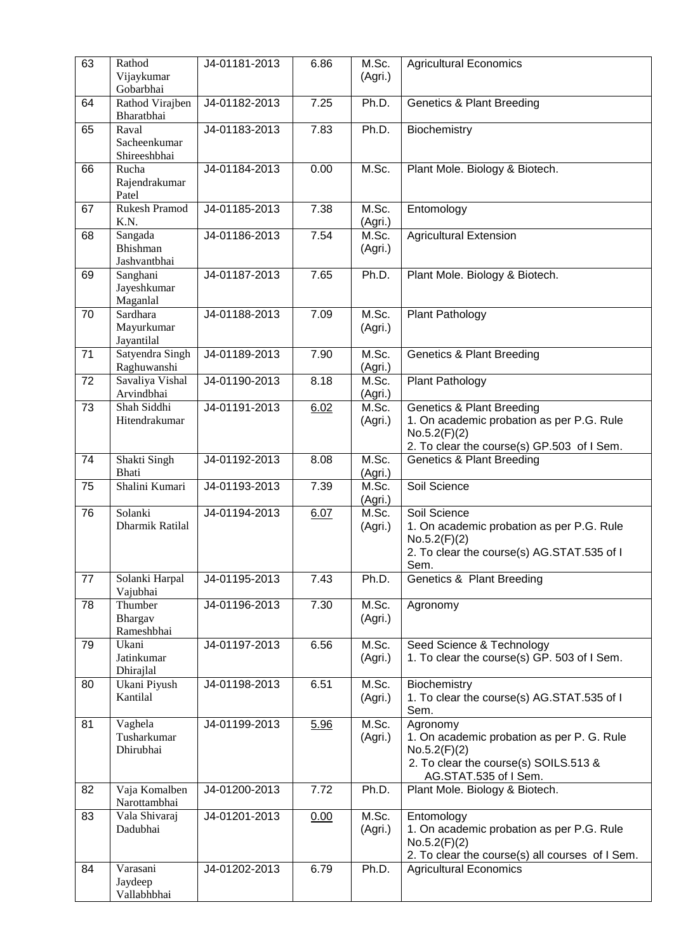| 63              | Rathod<br>Vijaykumar<br>Gobarbhai          | J4-01181-2013 | 6.86               | M.Sc.<br>(Agri.) | <b>Agricultural Economics</b>                                                                                                                   |
|-----------------|--------------------------------------------|---------------|--------------------|------------------|-------------------------------------------------------------------------------------------------------------------------------------------------|
| 64              | Rathod Virajben<br>Bharatbhai              | J4-01182-2013 | 7.25               | Ph.D.            | <b>Genetics &amp; Plant Breeding</b>                                                                                                            |
| 65              | Raval<br>Sacheenkumar<br>Shireeshbhai      | J4-01183-2013 | $\overline{7}$ .83 | Ph.D.            | Biochemistry                                                                                                                                    |
| 66              | Rucha<br>Rajendrakumar<br>Patel            | J4-01184-2013 | 0.00               | M.Sc.            | Plant Mole. Biology & Biotech.                                                                                                                  |
| 67              | <b>Rukesh Pramod</b><br>K.N.               | J4-01185-2013 | 7.38               | M.Sc.<br>(Agri.) | Entomology                                                                                                                                      |
| 68              | Sangada<br><b>Bhishman</b><br>Jashvantbhai | J4-01186-2013 | 7.54               | M.Sc.<br>(Agri.) | <b>Agricultural Extension</b>                                                                                                                   |
| 69              | Sanghani<br>Jayeshkumar<br>Maganlal        | J4-01187-2013 | 7.65               | Ph.D.            | Plant Mole. Biology & Biotech.                                                                                                                  |
| 70              | Sardhara<br>Mayurkumar<br>Jayantilal       | J4-01188-2013 | 7.09               | M.Sc.<br>(Agri.) | Plant Pathology                                                                                                                                 |
| 71              | Satyendra Singh<br>Raghuwanshi             | J4-01189-2013 | 7.90               | M.Sc.<br>(Agri.) | <b>Genetics &amp; Plant Breeding</b>                                                                                                            |
| 72              | Savaliya Vishal<br>Arvindbhai              | J4-01190-2013 | 8.18               | M.Sc.<br>(Agri.) | Plant Pathology                                                                                                                                 |
| 73              | Shah Siddhi<br>Hitendrakumar               | J4-01191-2013 | 6.02               | M.Sc.<br>(Agri.) | <b>Genetics &amp; Plant Breeding</b><br>1. On academic probation as per P.G. Rule<br>No.5.2(F)(2)<br>2. To clear the course(s) GP.503 of I Sem. |
| 74              | Shakti Singh<br>Bhati                      | J4-01192-2013 | 8.08               | M.Sc.<br>(Agri.) | <b>Genetics &amp; Plant Breeding</b>                                                                                                            |
| 75              | Shalini Kumari                             | J4-01193-2013 | 7.39               | M.Sc.<br>(Agri.) | Soil Science                                                                                                                                    |
| $\overline{76}$ | Solanki<br>Dharmik Ratilal                 | J4-01194-2013 | 6.07               | M.Sc.<br>(Agri.) | Soil Science<br>1. On academic probation as per P.G. Rule<br>No.5.2(F)(2)<br>2. To clear the course(s) AG.STAT.535 of I<br>Sem.                 |
| 77              | Solanki Harpal<br>Vajubhai                 | J4-01195-2013 | 7.43               | Ph.D.            | Genetics & Plant Breeding                                                                                                                       |
| 78              | Thumber<br>Bhargav<br>Rameshbhai           | J4-01196-2013 | 7.30               | M.Sc.<br>(Agri.) | Agronomy                                                                                                                                        |
| 79              | Ukani<br>Jatinkumar<br>Dhirajlal           | J4-01197-2013 | 6.56               | M.Sc.<br>(Agri.) | Seed Science & Technology<br>1. To clear the course(s) GP. 503 of I Sem.                                                                        |
| 80              | Ukani Piyush<br>Kantilal                   | J4-01198-2013 | 6.51               | M.Sc.<br>(Agri.) | Biochemistry<br>1. To clear the course(s) AG.STAT.535 of I<br>Sem.                                                                              |
| 81              | Vaghela<br>Tusharkumar<br>Dhirubhai        | J4-01199-2013 | 5.96               | M.Sc.<br>(Agri.) | Agronomy<br>1. On academic probation as per P. G. Rule<br>No.5.2(F)(2)<br>2. To clear the course(s) SOILS.513 &<br>AG.STAT.535 of I Sem.        |
| 82              | Vaja Komalben<br>Narottambhai              | J4-01200-2013 | 7.72               | Ph.D.            | Plant Mole. Biology & Biotech.                                                                                                                  |
| 83              | Vala Shivaraj<br>Dadubhai                  | J4-01201-2013 | 0.00               | M.Sc.<br>(Agri.) | Entomology<br>1. On academic probation as per P.G. Rule<br>No.5.2(F)(2)<br>2. To clear the course(s) all courses of I Sem.                      |
| 84              | Varasani<br>Jaydeep<br>Vallabhbhai         | J4-01202-2013 | 6.79               | Ph.D.            | <b>Agricultural Economics</b>                                                                                                                   |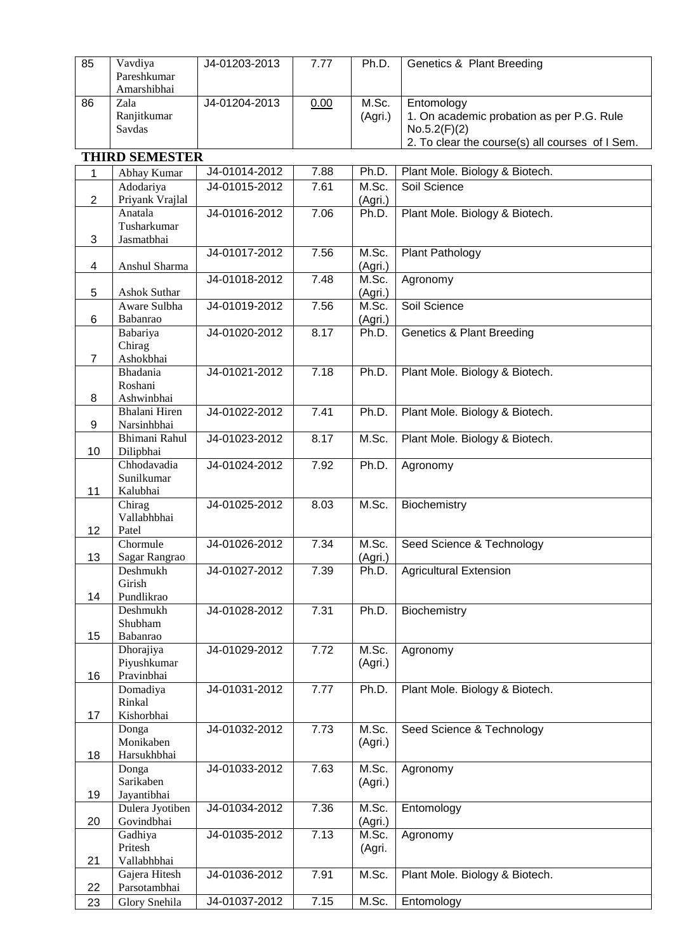| 85             | Vavdiya               | J4-01203-2013 | 7.77 | Ph.D.            | Genetics & Plant Breeding                       |
|----------------|-----------------------|---------------|------|------------------|-------------------------------------------------|
|                | Pareshkumar           |               |      |                  |                                                 |
|                | Amarshibhai           |               |      |                  |                                                 |
| 86             | Zala                  | J4-01204-2013 | 0.00 | M.Sc.            | Entomology                                      |
|                | Ranjitkumar           |               |      | (Agri.)          | 1. On academic probation as per P.G. Rule       |
|                | Savdas                |               |      |                  | No.5.2(F)(2)                                    |
|                |                       |               |      |                  | 2. To clear the course(s) all courses of I Sem. |
|                |                       |               |      |                  |                                                 |
|                | <b>THIRD SEMESTER</b> |               |      |                  |                                                 |
| 1              | Abhay Kumar           | J4-01014-2012 | 7.88 | Ph.D.            | Plant Mole. Biology & Biotech.                  |
|                | Adodariya             | J4-01015-2012 | 7.61 | M.Sc.            | Soil Science                                    |
| $\overline{2}$ | Priyank Vrajlal       |               |      | (Agri.)          |                                                 |
|                | Anatala               | J4-01016-2012 | 7.06 | Ph.D.            | Plant Mole. Biology & Biotech.                  |
|                | Tusharkumar           |               |      |                  |                                                 |
| 3              | Jasmatbhai            |               |      |                  |                                                 |
|                |                       | J4-01017-2012 | 7.56 | M.Sc.            | Plant Pathology                                 |
| 4              | Anshul Sharma         |               |      | (Agri.)          |                                                 |
|                |                       | J4-01018-2012 | 7.48 | M.Sc.            | Agronomy                                        |
| 5              | <b>Ashok Suthar</b>   |               |      | (Agri.)          |                                                 |
|                | Aware Sulbha          | J4-01019-2012 | 7.56 | M.Sc.            | Soil Science                                    |
|                |                       |               |      |                  |                                                 |
| 6              | Babanrao              |               |      | (Agri.)          |                                                 |
|                | Babariya              | J4-01020-2012 | 8.17 | Ph.D.            | <b>Genetics &amp; Plant Breeding</b>            |
|                | Chirag                |               |      |                  |                                                 |
| $\overline{7}$ | Ashokbhai             |               |      |                  |                                                 |
|                | Bhadania              | J4-01021-2012 | 7.18 | Ph.D.            | Plant Mole. Biology & Biotech.                  |
|                | Roshani               |               |      |                  |                                                 |
| 8              | Ashwinbhai            |               |      |                  |                                                 |
|                | Bhalani Hiren         | J4-01022-2012 | 7.41 | Ph.D.            | Plant Mole. Biology & Biotech.                  |
| 9              | Narsinhbhai           |               |      |                  |                                                 |
|                | Bhimani Rahul         | J4-01023-2012 | 8.17 | M.Sc.            | Plant Mole. Biology & Biotech.                  |
| 10             | Dilipbhai             |               |      |                  |                                                 |
|                | Chhodavadia           | J4-01024-2012 | 7.92 | Ph.D.            | Agronomy                                        |
|                | Sunilkumar            |               |      |                  |                                                 |
| 11             | Kalubhai              |               |      |                  |                                                 |
|                | Chirag                | J4-01025-2012 | 8.03 | M.Sc.            | Biochemistry                                    |
|                | Vallabhbhai           |               |      |                  |                                                 |
| 12             | Patel                 |               |      |                  |                                                 |
|                | Chormule              | J4-01026-2012 | 7.34 | M.Sc.            | Seed Science & Technology                       |
| 13             | Sagar Rangrao         |               |      | (Agri.)          |                                                 |
|                | Deshmukh              | J4-01027-2012 | 7.39 | Ph.D.            | <b>Agricultural Extension</b>                   |
|                | Girish                |               |      |                  |                                                 |
| 14             | Pundlikrao            |               |      |                  |                                                 |
|                | Deshmukh              | J4-01028-2012 | 7.31 | Ph.D.            | Biochemistry                                    |
|                | Shubham               |               |      |                  |                                                 |
| 15             | Babanrao              |               |      |                  |                                                 |
|                | Dhorajiya             | J4-01029-2012 | 7.72 | M.Sc.            | Agronomy                                        |
|                | Piyushkumar           |               |      | (Agri.)          |                                                 |
| 16             | Pravinbhai            |               |      |                  |                                                 |
|                | Domadiya              | J4-01031-2012 | 7.77 | Ph.D.            | Plant Mole. Biology & Biotech.                  |
|                | Rinkal                |               |      |                  |                                                 |
| 17             | Kishorbhai            |               |      |                  |                                                 |
|                | Donga                 | J4-01032-2012 | 7.73 | M.Sc.            | Seed Science & Technology                       |
|                | Monikaben             |               |      | (Agri.)          |                                                 |
| 18             | Harsukhbhai           |               |      |                  |                                                 |
|                | Donga                 | J4-01033-2012 | 7.63 | M.Sc.            | Agronomy                                        |
|                | Sarikaben             |               |      | (Agri.)          |                                                 |
| 19             | Jayantibhai           |               |      |                  |                                                 |
|                | Dulera Jyotiben       | J4-01034-2012 | 7.36 | M.Sc.            | Entomology                                      |
| 20             | Govindbhai            |               |      |                  |                                                 |
|                | Gadhiya               | J4-01035-2012 | 7.13 | (Agri.)<br>M.Sc. | Agronomy                                        |
|                | Pritesh               |               |      |                  |                                                 |
|                | Vallabhbhai           |               |      | (Agri.           |                                                 |
| 21             |                       |               |      |                  |                                                 |
|                | Gajera Hitesh         | J4-01036-2012 | 7.91 | M.Sc.            | Plant Mole. Biology & Biotech.                  |
| 22             | Parsotambhai          |               |      |                  |                                                 |
| 23             | Glory Snehila         | J4-01037-2012 | 7.15 | M.Sc.            | Entomology                                      |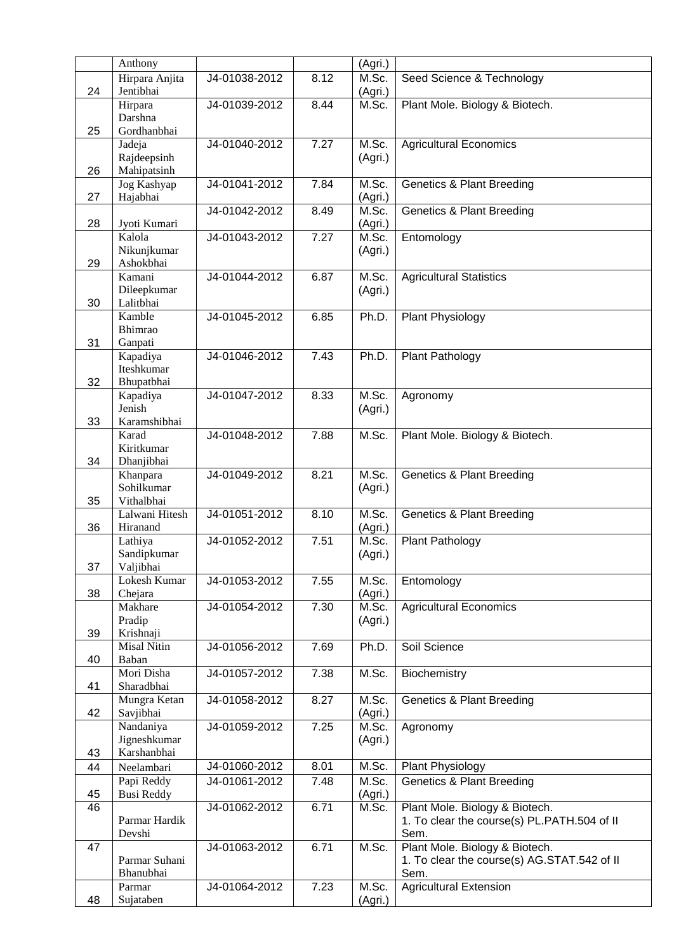|    | Anthony                     |                                |      | (Agri.)          |                                                     |
|----|-----------------------------|--------------------------------|------|------------------|-----------------------------------------------------|
| 24 | Hirpara Anjita<br>Jentibhai | J4-01038-2012                  | 8.12 | M.Sc.<br>(Agri.) | Seed Science & Technology                           |
|    | Hirpara                     | J4-01039-2012                  | 8.44 | M.Sc.            | Plant Mole. Biology & Biotech.                      |
|    | Darshna                     |                                |      |                  |                                                     |
| 25 | Gordhanbhai<br>Jadeja       | J4-01040-2012                  | 7.27 | M.Sc.            | <b>Agricultural Economics</b>                       |
|    | Rajdeepsinh                 |                                |      | (Agri.)          |                                                     |
| 26 | Mahipatsinh                 |                                |      |                  |                                                     |
|    | Jog Kashyap                 | J4-01041-2012                  | 7.84 | M.Sc.            | <b>Genetics &amp; Plant Breeding</b>                |
| 27 | Hajabhai                    |                                |      | (Agri.)          |                                                     |
| 28 | Jyoti Kumari                | J4-01042-2012                  | 8.49 | M.Sc.<br>(Agri.) | <b>Genetics &amp; Plant Breeding</b>                |
|    | Kalola                      | J4-01043-2012                  | 7.27 | M.Sc.            | Entomology                                          |
|    | Nikunjkumar                 |                                |      | (Agri.)          |                                                     |
| 29 | Ashokbhai<br>Kamani         | J4-01044-2012                  | 6.87 | M.Sc.            | <b>Agricultural Statistics</b>                      |
|    | Dileepkumar                 |                                |      | (Agri.)          |                                                     |
| 30 | Lalitbhai                   |                                |      |                  |                                                     |
|    | Kamble                      | J4-01045-2012                  | 6.85 | Ph.D.            | Plant Physiology                                    |
|    | Bhimrao                     |                                |      |                  |                                                     |
| 31 | Ganpati                     | J4-01046-2012                  |      |                  |                                                     |
|    | Kapadiya<br>Iteshkumar      |                                | 7.43 | Ph.D.            | Plant Pathology                                     |
| 32 | Bhupatbhai                  |                                |      |                  |                                                     |
|    | Kapadiya                    | J4-01047-2012                  | 8.33 | M.Sc.            | Agronomy                                            |
|    | Jenish                      |                                |      | (Agri.)          |                                                     |
| 33 | Karamshibhai                |                                |      |                  |                                                     |
|    | Karad<br>Kiritkumar         | J4-01048-2012                  | 7.88 | M.Sc.            | Plant Mole. Biology & Biotech.                      |
| 34 | Dhanjibhai                  |                                |      |                  |                                                     |
|    | Khanpara                    | J4-01049-2012                  | 8.21 | M.Sc.            | <b>Genetics &amp; Plant Breeding</b>                |
|    | Sohilkumar                  |                                |      | (Agri.)          |                                                     |
| 35 | Vithalbhai                  |                                |      |                  |                                                     |
| 36 | Lalwani Hitesh<br>Hiranand  | J4-01051-2012                  | 8.10 | M.Sc.<br>(Agri.) | <b>Genetics &amp; Plant Breeding</b>                |
|    | Lathiya                     | J4-01052-2012                  | 7.51 | M.Sc.            | Plant Pathology                                     |
|    | Sandipkumar                 |                                |      | (Agri.)          |                                                     |
| 37 | Valjibhai                   |                                |      |                  |                                                     |
|    | Lokesh Kumar                | J4-01053-2012                  | 7.55 | M.Sc.            | Entomology                                          |
| 38 | Chejara                     | J4-01054-2012                  | 7.30 | (Agri.)          |                                                     |
|    | Makhare<br>Pradip           |                                |      | M.Sc.<br>(Agri.) | <b>Agricultural Economics</b>                       |
| 39 | Krishnaji                   |                                |      |                  |                                                     |
|    | <b>Misal Nitin</b>          | J4-01056-2012                  | 7.69 | Ph.D.            | Soil Science                                        |
| 40 | Baban                       |                                |      |                  |                                                     |
| 41 | Mori Disha<br>Sharadbhai    | J4-01057-2012                  | 7.38 | M.Sc.            | Biochemistry                                        |
|    | Mungra Ketan                | J4-01058-2012                  | 8.27 | M.Sc.            | <b>Genetics &amp; Plant Breeding</b>                |
| 42 | Savjibhai                   |                                |      | (Agri.)          |                                                     |
|    | Nandaniya                   | J4-01059-2012                  | 7.25 | M.Sc.            | Agronomy                                            |
|    | Jigneshkumar                |                                |      | (Agri.)          |                                                     |
| 43 | Karshanbhai                 |                                |      |                  |                                                     |
| 44 | Neelambari<br>Papi Reddy    | J4-01060-2012<br>J4-01061-2012 | 8.01 | M.Sc.            | Plant Physiology                                    |
| 45 | <b>Busi Reddy</b>           |                                | 7.48 | M.Sc.<br>(Agri.) | <b>Genetics &amp; Plant Breeding</b>                |
| 46 |                             | J4-01062-2012                  | 6.71 | M.Sc.            | Plant Mole. Biology & Biotech.                      |
|    | Parmar Hardik               |                                |      |                  | 1. To clear the course(s) PL.PATH.504 of II         |
|    | Devshi                      |                                |      |                  | Sem.                                                |
| 47 |                             | J4-01063-2012                  | 6.71 | M.Sc.            | Plant Mole. Biology & Biotech.                      |
|    | Parmar Suhani<br>Bhanubhai  |                                |      |                  | 1. To clear the course(s) AG.STAT.542 of II<br>Sem. |
|    | Parmar                      | J4-01064-2012                  | 7.23 | M.Sc.            | <b>Agricultural Extension</b>                       |
| 48 | Sujataben                   |                                |      | (Agri.)          |                                                     |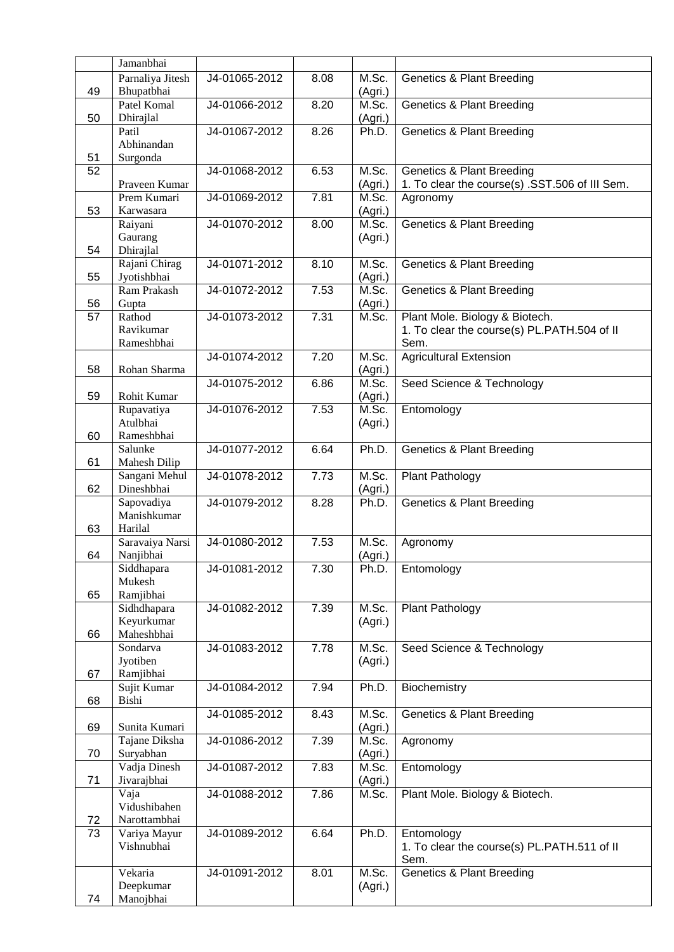|    | Jamanbhai                            |               |                   |                  |                                                                                        |
|----|--------------------------------------|---------------|-------------------|------------------|----------------------------------------------------------------------------------------|
| 49 | Parnaliya Jitesh<br>Bhupatbhai       | J4-01065-2012 | 8.08              | M.Sc.<br>(Agri.) | <b>Genetics &amp; Plant Breeding</b>                                                   |
| 50 | Patel Komal<br>Dhirajlal             | J4-01066-2012 | 8.20              | M.Sc.<br>(Agri.) | <b>Genetics &amp; Plant Breeding</b>                                                   |
|    | Patil<br>Abhinandan                  | J4-01067-2012 | 8.26              | Ph.D.            | <b>Genetics &amp; Plant Breeding</b>                                                   |
| 51 | Surgonda                             |               |                   |                  |                                                                                        |
| 52 | Praveen Kumar                        | J4-01068-2012 | 6.53              | M.Sc.<br>(Agri.) | <b>Genetics &amp; Plant Breeding</b><br>1. To clear the course(s) .SST.506 of III Sem. |
| 53 | Prem Kumari<br>Karwasara             | J4-01069-2012 | 7.81              | M.Sc.<br>(Agri.) | Agronomy                                                                               |
|    | Raiyani                              | J4-01070-2012 | 8.00              | M.Sc.            | <b>Genetics &amp; Plant Breeding</b>                                                   |
| 54 | Gaurang<br>Dhirajlal                 |               |                   | (Agri.)          |                                                                                        |
| 55 | Rajani Chirag<br>Jyotishbhai         | J4-01071-2012 | 8.10              | M.Sc.<br>(Agri.) | <b>Genetics &amp; Plant Breeding</b>                                                   |
| 56 | Ram Prakash<br>Gupta                 | J4-01072-2012 | $\overline{7.53}$ | M.Sc.<br>(Agri.) | <b>Genetics &amp; Plant Breeding</b>                                                   |
| 57 | Rathod                               | J4-01073-2012 | 7.31              | M.Sc.            | Plant Mole. Biology & Biotech.                                                         |
|    | Ravikumar<br>Rameshbhai              |               |                   |                  | 1. To clear the course(s) PL.PATH.504 of II<br>Sem.                                    |
| 58 | Rohan Sharma                         | J4-01074-2012 | 7.20              | M.Sc.<br>(Agri.) | <b>Agricultural Extension</b>                                                          |
| 59 | Rohit Kumar                          | J4-01075-2012 | 6.86              | M.Sc.<br>(Agri.) | Seed Science & Technology                                                              |
|    | Rupavatiya                           | J4-01076-2012 | 7.53              | M.Sc.            | Entomology                                                                             |
| 60 | Atulbhai<br>Rameshbhai               |               |                   | (Agri.)          |                                                                                        |
|    | Salunke                              | J4-01077-2012 | 6.64              | Ph.D.            | <b>Genetics &amp; Plant Breeding</b>                                                   |
| 61 | Mahesh Dilip<br>Sangani Mehul        | J4-01078-2012 | 7.73              | M.Sc.            | Plant Pathology                                                                        |
| 62 | Dineshbhai                           | J4-01079-2012 | 8.28              | (Agri.)          |                                                                                        |
| 63 | Sapovadiya<br>Manishkumar<br>Harilal |               |                   | Ph.D.            | <b>Genetics &amp; Plant Breeding</b>                                                   |
|    | Saravaiya Narsi                      | J4-01080-2012 | 7.53              | M.Sc.            | Agronomy                                                                               |
| 64 | Nanjibhai                            |               |                   | (Agri.)          |                                                                                        |
|    | Siddhapara<br>Mukesh                 | J4-01081-2012 | 7.30              | Ph.D.            | Entomology                                                                             |
| 65 | Ramjibhai<br>Sidhdhapara             | J4-01082-2012 | 7.39              | M.Sc.            | Plant Pathology                                                                        |
|    | Keyurkumar                           |               |                   | (Agri.)          |                                                                                        |
| 66 | Maheshbhai<br>Sondarva               | J4-01083-2012 | 7.78              | M.Sc.            | Seed Science & Technology                                                              |
|    | Jyotiben                             |               |                   | (Agri.)          |                                                                                        |
| 67 | Ramjibhai<br>Sujit Kumar             | J4-01084-2012 | 7.94              | Ph.D.            | Biochemistry                                                                           |
| 68 | Bishi                                |               |                   |                  |                                                                                        |
| 69 | Sunita Kumari                        | J4-01085-2012 | 8.43              | M.Sc.<br>(Agri.) | <b>Genetics &amp; Plant Breeding</b>                                                   |
| 70 | Tajane Diksha<br>Suryabhan           | J4-01086-2012 | 7.39              | M.Sc.<br>(Agri.) | Agronomy                                                                               |
| 71 | Vadja Dinesh<br>Jivarajbhai          | J4-01087-2012 | 7.83              | M.Sc.            | Entomology                                                                             |
|    | Vaja                                 | J4-01088-2012 | 7.86              | (Agri.)<br>M.Sc. | Plant Mole. Biology & Biotech.                                                         |
| 72 | Vidushibahen<br>Narottambhai         |               |                   |                  |                                                                                        |
| 73 | Variya Mayur                         | J4-01089-2012 | 6.64              | Ph.D.            | Entomology                                                                             |
|    | Vishnubhai                           |               |                   |                  | 1. To clear the course(s) PL.PATH.511 of II<br>Sem.                                    |
|    | Vekaria                              | J4-01091-2012 | 8.01              | M.Sc.            | <b>Genetics &amp; Plant Breeding</b>                                                   |
| 74 | Deepkumar<br>Manojbhai               |               |                   | (Agri.)          |                                                                                        |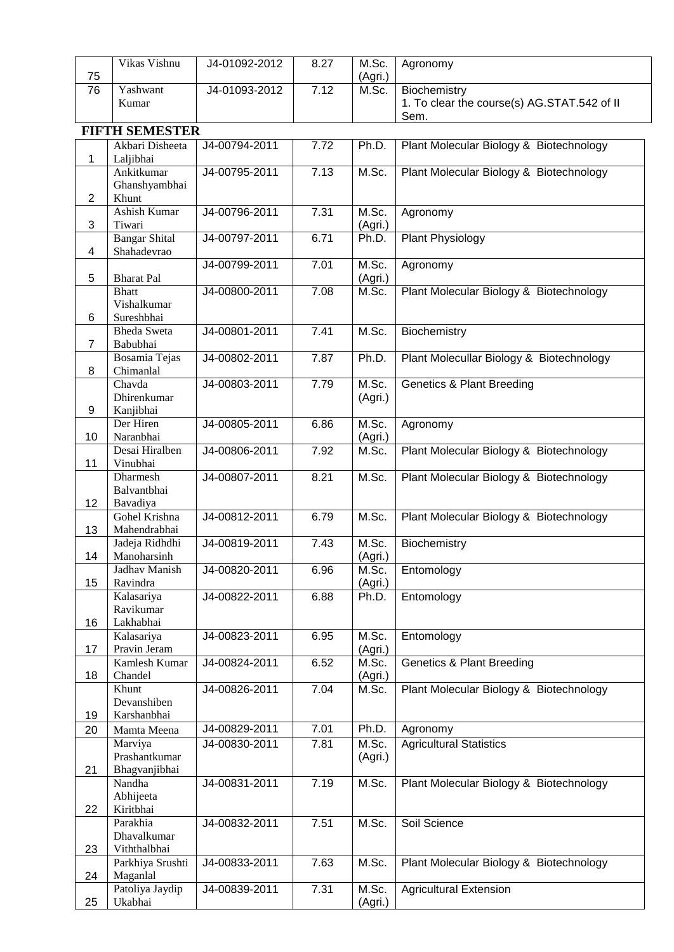| 75             | Vikas Vishnu                              | J4-01092-2012 | 8.27 | M.Sc.<br>(Agri.) | Agronomy                                                    |
|----------------|-------------------------------------------|---------------|------|------------------|-------------------------------------------------------------|
| 76             | Yashwant<br>Kumar                         | J4-01093-2012 | 7.12 | M.Sc.            | Biochemistry<br>1. To clear the course(s) AG.STAT.542 of II |
|                | <b>FIFTH SEMESTER</b>                     |               |      |                  | Sem.                                                        |
| 1              | Akbari Disheeta<br>Laljibhai              | J4-00794-2011 | 7.72 | Ph.D.            | Plant Molecular Biology & Biotechnology                     |
| $\overline{2}$ | Ankitkumar<br>Ghanshyambhai<br>Khunt      | J4-00795-2011 | 7.13 | M.Sc.            | Plant Molecular Biology & Biotechnology                     |
| 3              | Ashish Kumar<br>Tiwari                    | J4-00796-2011 | 7.31 | M.Sc.<br>(Agri.) | Agronomy                                                    |
| 4              | <b>Bangar Shital</b><br>Shahadevrao       | J4-00797-2011 | 6.71 | Ph.D.            | Plant Physiology                                            |
| 5              | <b>Bharat Pal</b>                         | J4-00799-2011 | 7.01 | M.Sc.<br>(Agri.) | Agronomy                                                    |
| 6              | <b>Bhatt</b><br>Vishalkumar<br>Sureshbhai | J4-00800-2011 | 7.08 | M.Sc.            | Plant Molecular Biology & Biotechnology                     |
| 7              | <b>Bheda Sweta</b><br>Babubhai            | J4-00801-2011 | 7.41 | M.Sc.            | Biochemistry                                                |
| 8              | Bosamia Tejas<br>Chimanlal                | J4-00802-2011 | 7.87 | Ph.D.            | Plant Molecullar Biology & Biotechnology                    |
| 9              | Chavda<br>Dhirenkumar<br>Kanjibhai        | J4-00803-2011 | 7.79 | M.Sc.<br>(Agri.) | <b>Genetics &amp; Plant Breeding</b>                        |
| 10             | Der Hiren<br>Naranbhai                    | J4-00805-2011 | 6.86 | M.Sc.<br>(Agri.) | Agronomy                                                    |
| 11             | Desai Hiralben<br>Vinubhai                | J4-00806-2011 | 7.92 | M.Sc.            | Plant Molecular Biology & Biotechnology                     |
| 12             | Dharmesh<br>Balvantbhai<br>Bavadiya       | J4-00807-2011 | 8.21 | M.Sc.            | Plant Molecular Biology & Biotechnology                     |
| 13             | Gohel Krishna<br>Mahendrabhai             | J4-00812-2011 | 6.79 | M.Sc.            | Plant Molecular Biology & Biotechnology                     |
| 14             | Jadeja Ridhdhi<br>Manoharsinh             | J4-00819-2011 | 7.43 | M.Sc.<br>(Agri.) | Biochemistry                                                |
| 15             | Jadhav Manish<br>Ravindra                 | J4-00820-2011 | 6.96 | M.Sc.<br>(Agri.) | Entomology                                                  |
| 16             | Kalasariya<br>Ravikumar<br>Lakhabhai      | J4-00822-2011 | 6.88 | Ph.D.            | Entomology                                                  |
| 17             | Kalasariya<br>Pravin Jeram                | J4-00823-2011 | 6.95 | M.Sc.<br>(Agri.) | Entomology                                                  |
| 18             | Kamlesh Kumar<br>Chandel                  | J4-00824-2011 | 6.52 | M.Sc.<br>(Agri.) | <b>Genetics &amp; Plant Breeding</b>                        |
| 19             | Khunt<br>Devanshiben<br>Karshanbhai       | J4-00826-2011 | 7.04 | M.Sc.            | Plant Molecular Biology & Biotechnology                     |
| 20             | Mamta Meena                               | J4-00829-2011 | 7.01 | Ph.D.            | Agronomy                                                    |
| 21             | Marviya<br>Prashantkumar<br>Bhagvanjibhai | J4-00830-2011 | 7.81 | M.Sc.<br>(Agri.) | <b>Agricultural Statistics</b>                              |
| 22             | Nandha<br>Abhijeeta<br>Kiritbhai          | J4-00831-2011 | 7.19 | M.Sc.            | Plant Molecular Biology & Biotechnology                     |
| 23             | Parakhia<br>Dhavalkumar<br>Viththalbhai   | J4-00832-2011 | 7.51 | M.Sc.            | Soil Science                                                |
| 24             | Parkhiya Srushti<br>Maganlal              | J4-00833-2011 | 7.63 | M.Sc.            | Plant Molecular Biology & Biotechnology                     |
| 25             | Patoliya Jaydip<br>Ukabhai                | J4-00839-2011 | 7.31 | M.Sc.<br>(Agri.) | <b>Agricultural Extension</b>                               |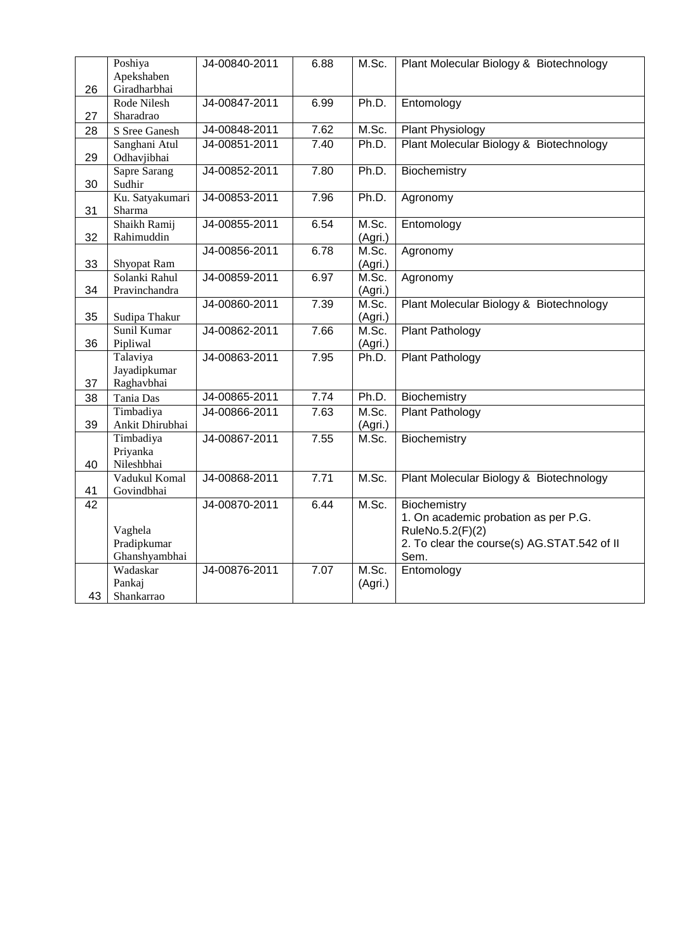|                 | Poshiya                      | J4-00840-2011 | 6.88 | M.Sc.            | Plant Molecular Biology & Biotechnology     |
|-----------------|------------------------------|---------------|------|------------------|---------------------------------------------|
|                 | Apekshaben                   |               |      |                  |                                             |
| 26              | Giradharbhai                 |               |      |                  |                                             |
|                 | Rode Nilesh                  | J4-00847-2011 | 6.99 | Ph.D.            | Entomology                                  |
| 27              | Sharadrao                    |               |      |                  |                                             |
| 28              | S Sree Ganesh                | J4-00848-2011 | 7.62 | M.Sc.            | Plant Physiology                            |
|                 | Sanghani Atul                | J4-00851-2011 | 7.40 | Ph.D.            | Plant Molecular Biology & Biotechnology     |
| 29              | Odhavjibhai                  |               |      |                  |                                             |
|                 | <b>Sapre Sarang</b>          | J4-00852-2011 | 7.80 | Ph.D.            | Biochemistry                                |
| 30              | Sudhir                       |               |      |                  |                                             |
|                 | Ku. Satyakumari              | J4-00853-2011 | 7.96 | Ph.D.            | Agronomy                                    |
| 31              | Sharma                       |               |      |                  |                                             |
|                 | Shaikh Ramij                 | J4-00855-2011 | 6.54 | M.Sc.            | Entomology                                  |
| 32              | Rahimuddin                   | J4-00856-2011 | 6.78 | (Agri.)<br>M.Sc. |                                             |
| 33              |                              |               |      |                  | Agronomy                                    |
|                 | Shyopat Ram<br>Solanki Rahul | J4-00859-2011 | 6.97 | (Agri.)<br>M.Sc. | Agronomy                                    |
| 34              | Pravinchandra                |               |      | (Agri.)          |                                             |
|                 |                              | J4-00860-2011 | 7.39 | M.Sc.            | Plant Molecular Biology & Biotechnology     |
| 35              | Sudipa Thakur                |               |      | (Agri.)          |                                             |
|                 | Sunil Kumar                  | J4-00862-2011 | 7.66 | M.Sc.            | Plant Pathology                             |
| 36              | Pipliwal                     |               |      | (Agri.)          |                                             |
|                 | Talaviya                     | J4-00863-2011 | 7.95 | Ph.D.            | <b>Plant Pathology</b>                      |
|                 | Jayadipkumar                 |               |      |                  |                                             |
| 37              | Raghavbhai                   |               |      |                  |                                             |
| 38              | Tania Das                    | J4-00865-2011 | 7.74 | Ph.D.            | Biochemistry                                |
|                 | Timbadiya                    | J4-00866-2011 | 7.63 | M.Sc.            | Plant Pathology                             |
| 39              | Ankit Dhirubhai              |               |      | (Agri.)          |                                             |
|                 | Timbadiya                    | J4-00867-2011 | 7.55 | M.Sc.            | Biochemistry                                |
|                 | Priyanka                     |               |      |                  |                                             |
| 40              | Nileshbhai                   |               |      |                  |                                             |
|                 | Vadukul Komal                | J4-00868-2011 | 7.71 | M.Sc.            | Plant Molecular Biology & Biotechnology     |
| 41              | Govindbhai                   |               |      |                  |                                             |
| $\overline{42}$ |                              | J4-00870-2011 | 6.44 | M.Sc.            | Biochemistry                                |
|                 |                              |               |      |                  | 1. On academic probation as per P.G.        |
|                 | Vaghela                      |               |      |                  | RuleNo.5.2(F)(2)                            |
|                 | Pradipkumar                  |               |      |                  | 2. To clear the course(s) AG.STAT.542 of II |
|                 | Ghanshyambhai                |               |      |                  | Sem.                                        |
|                 | Wadaskar                     | J4-00876-2011 | 7.07 | M.Sc.            | Entomology                                  |
|                 | Pankaj                       |               |      | (Agri.)          |                                             |
| 43              | Shankarrao                   |               |      |                  |                                             |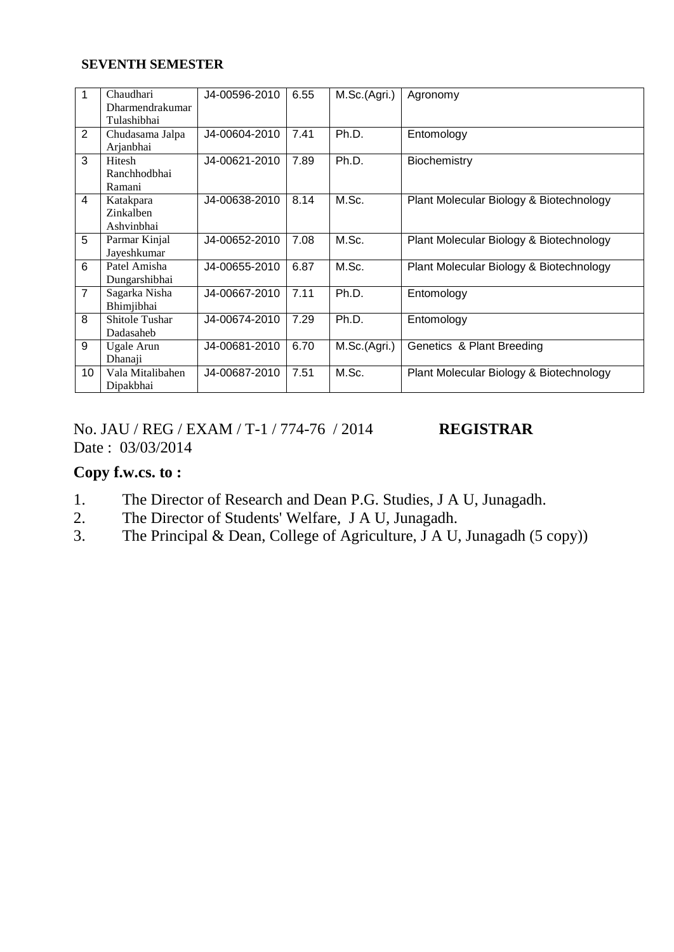#### **SEVENTH SEMESTER**

| 1              | Chaudhari<br>Dharmendrakumar         | J4-00596-2010 | 6.55 | M.Sc.(Agri.) | Agronomy                                |
|----------------|--------------------------------------|---------------|------|--------------|-----------------------------------------|
|                | Tulashibhai                          |               |      |              |                                         |
| 2              | Chudasama Jalpa<br>Arjanbhai         | J4-00604-2010 | 7.41 | Ph.D.        | Entomology                              |
| 3              | Hitesh<br>Ranchhodbhai<br>Ramani     | J4-00621-2010 | 7.89 | Ph.D.        | Biochemistry                            |
| 4              | Katakpara<br>Zinkalben<br>Ashvinbhai | J4-00638-2010 | 8.14 | M.Sc.        | Plant Molecular Biology & Biotechnology |
| 5              | Parmar Kinjal<br>Jayeshkumar         | J4-00652-2010 | 7.08 | M.Sc.        | Plant Molecular Biology & Biotechnology |
| 6              | Patel Amisha<br>Dungarshibhai        | J4-00655-2010 | 6.87 | M.Sc.        | Plant Molecular Biology & Biotechnology |
| $\overline{7}$ | Sagarka Nisha<br>Bhimjibhai          | J4-00667-2010 | 7.11 | Ph.D.        | Entomology                              |
| 8              | <b>Shitole Tushar</b><br>Dadasaheb   | J4-00674-2010 | 7.29 | Ph.D.        | Entomology                              |
| 9              | Ugale Arun<br>Dhanaji                | J4-00681-2010 | 6.70 | M.Sc.(Agri.) | Genetics & Plant Breeding               |
| 10             | Vala Mitalibahen<br>Dipakbhai        | J4-00687-2010 | 7.51 | M.Sc.        | Plant Molecular Biology & Biotechnology |

No. JAU / REG / EXAM / T-1 / 774-76 / 2014 **REGISTRAR** Date : 03/03/2014

## **Copy f.w.cs. to :**

- 1. The Director of Research and Dean P.G. Studies, J A U, Junagadh.
- 2. The Director of Students' Welfare, J A U, Junagadh.
- 3. The Principal & Dean, College of Agriculture,  $\overline{J}$  A U, Junagadh (5 copy))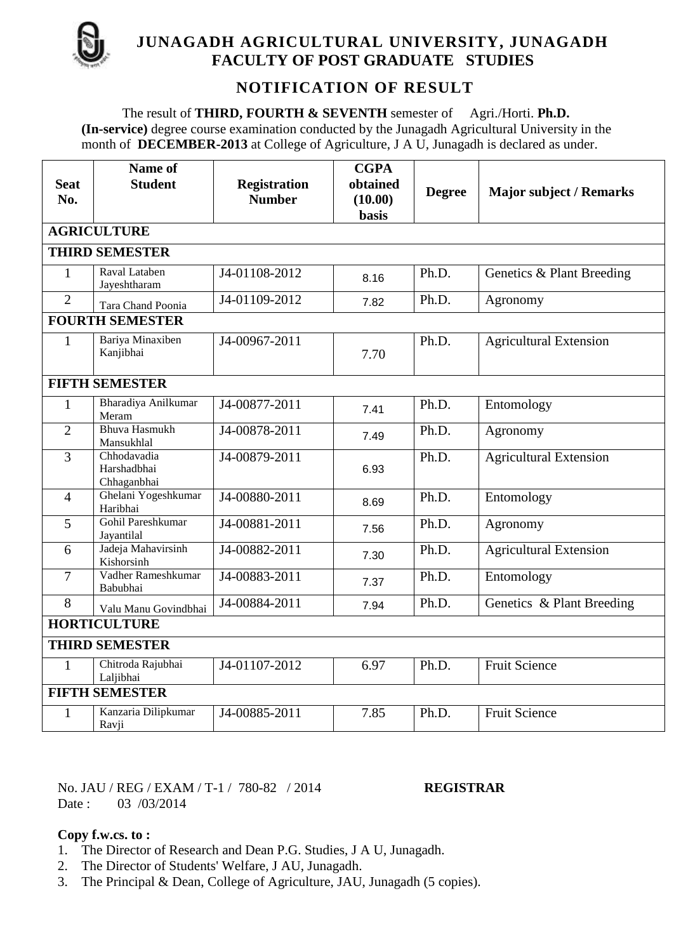

## **JUNAGADH AGRICULTURAL UNIVERSITY, JUNAGADH FACULTY OF POST GRADUATE STUDIES**

# **NOTIFICATION OF RESULT**

The result of **THIRD, FOURTH & SEVENTH** semester of Agri./Horti. **Ph.D. (In-service)** degree course examination conducted by the Junagadh Agricultural University in the month of **DECEMBER-2013** at College of Agriculture, J A U, Junagadh is declared as under.

| <b>Seat</b>    | Name of<br><b>Student</b>                 | <b>Registration</b> | <b>CGPA</b><br>obtained |               |                                |  |  |  |  |  |  |
|----------------|-------------------------------------------|---------------------|-------------------------|---------------|--------------------------------|--|--|--|--|--|--|
| No.            |                                           | <b>Number</b>       | (10.00)                 | <b>Degree</b> | <b>Major subject / Remarks</b> |  |  |  |  |  |  |
|                |                                           |                     | <b>basis</b>            |               |                                |  |  |  |  |  |  |
|                | <b>AGRICULTURE</b>                        |                     |                         |               |                                |  |  |  |  |  |  |
|                | <b>THIRD SEMESTER</b>                     |                     |                         |               |                                |  |  |  |  |  |  |
| $\mathbf{1}$   | Raval Lataben<br>Jayeshtharam             | J4-01108-2012       | 8.16                    | Ph.D.         | Genetics & Plant Breeding      |  |  |  |  |  |  |
| $\overline{2}$ | Tara Chand Poonia                         | J4-01109-2012       | 7.82                    | Ph.D.         | Agronomy                       |  |  |  |  |  |  |
|                | <b>FOURTH SEMESTER</b>                    |                     |                         |               |                                |  |  |  |  |  |  |
| $\mathbf{1}$   | Bariya Minaxiben<br>Kanjibhai             | J4-00967-2011       | 7.70                    | Ph.D.         | <b>Agricultural Extension</b>  |  |  |  |  |  |  |
|                | <b>FIFTH SEMESTER</b>                     |                     |                         |               |                                |  |  |  |  |  |  |
| $\mathbf{1}$   | Bharadiya Anilkumar<br>Meram              | J4-00877-2011       | 7.41                    | Ph.D.         | Entomology                     |  |  |  |  |  |  |
| $\overline{2}$ | <b>Bhuva Hasmukh</b><br>Mansukhlal        | J4-00878-2011       | 7.49                    | Ph.D.         | Agronomy                       |  |  |  |  |  |  |
| $\overline{3}$ | Chhodavadia<br>Harshadbhai<br>Chhaganbhai | J4-00879-2011       | 6.93                    | Ph.D.         | <b>Agricultural Extension</b>  |  |  |  |  |  |  |
| $\overline{4}$ | Ghelani Yogeshkumar<br>Haribhai           | J4-00880-2011       | 8.69                    | Ph.D.         | Entomology                     |  |  |  |  |  |  |
| $\overline{5}$ | Gohil Pareshkumar<br>Jayantilal           | J4-00881-2011       | 7.56                    | Ph.D.         | Agronomy                       |  |  |  |  |  |  |
| 6              | Jadeja Mahavirsinh<br>Kishorsinh          | J4-00882-2011       | 7.30                    | Ph.D.         | <b>Agricultural Extension</b>  |  |  |  |  |  |  |
| $\overline{7}$ | Vadher Rameshkumar<br>Babubhai            | J4-00883-2011       | 7.37                    | Ph.D.         | Entomology                     |  |  |  |  |  |  |
| 8              | Valu Manu Govindbhai                      | J4-00884-2011       | 7.94                    | Ph.D.         | Genetics & Plant Breeding      |  |  |  |  |  |  |
|                | <b>HORTICULTURE</b>                       |                     |                         |               |                                |  |  |  |  |  |  |
|                | <b>THIRD SEMESTER</b>                     |                     |                         |               |                                |  |  |  |  |  |  |
| $\mathbf{1}$   | Chitroda Rajubhai<br>Laljibhai            | J4-01107-2012       | 6.97                    | Ph.D.         | <b>Fruit Science</b>           |  |  |  |  |  |  |
|                | <b>FIFTH SEMESTER</b>                     |                     |                         |               |                                |  |  |  |  |  |  |
| $\mathbf{1}$   | Kanzaria Dilipkumar<br>Ravji              | J4-00885-2011       | 7.85                    | Ph.D.         | <b>Fruit Science</b>           |  |  |  |  |  |  |

No. JAU / REG / EXAM / T-1 / 780-82 / 2014 **REGISTRAR** Date : 03 /03/2014

**Copy f.w.cs. to :**

- 1. The Director of Research and Dean P.G. Studies, J A U, Junagadh.
- 2. The Director of Students' Welfare, J AU, Junagadh.
- 3. The Principal & Dean, College of Agriculture, JAU, Junagadh (5 copies).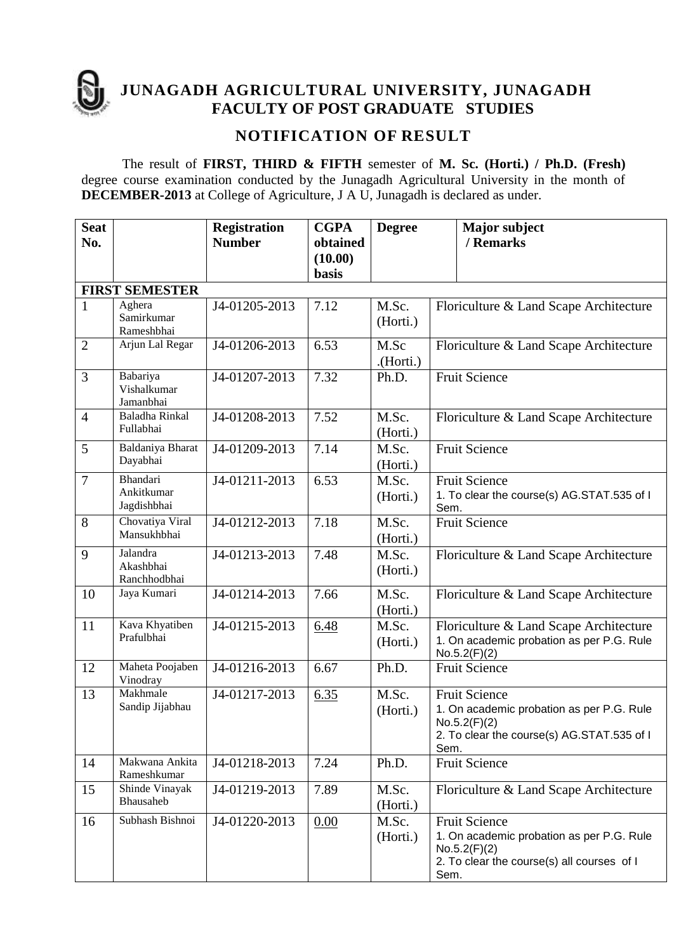

**JUNAGADH AGRICULTURAL UNIVERSITY, JUNAGADH FACULTY OF POST GRADUATE STUDIES** 

## **NOTIFICATION OF RESULT**

The result of **FIRST, THIRD & FIFTH** semester of **M. Sc. (Horti.) / Ph.D. (Fresh)**  degree course examination conducted by the Junagadh Agricultural University in the month of **DECEMBER-2013** at College of Agriculture, J A U, Junagadh is declared as under.

| <b>Seat</b><br>No. |                                              | <b>Registration</b><br><b>Number</b> | <b>CGPA</b><br>obtained | <b>Degree</b>          |      | <b>Major</b> subject<br>/ Remarks                                                                                               |
|--------------------|----------------------------------------------|--------------------------------------|-------------------------|------------------------|------|---------------------------------------------------------------------------------------------------------------------------------|
|                    |                                              |                                      | (10.00)<br>basis        |                        |      |                                                                                                                                 |
|                    | <b>FIRST SEMESTER</b>                        |                                      |                         |                        |      |                                                                                                                                 |
| $\mathbf{1}$       | Aghera<br>Samirkumar<br>Rameshbhai           | J4-01205-2013                        | 7.12                    | M.Sc.<br>(Horti.)      |      | Floriculture & Land Scape Architecture                                                                                          |
| $\overline{2}$     | Arjun Lal Regar                              | J4-01206-2013                        | 6.53                    | M.Sc<br>$($ Horti. $)$ |      | Floriculture & Land Scape Architecture                                                                                          |
| 3                  | Babariya<br>Vishalkumar<br>Jamanbhai         | J4-01207-2013                        | 7.32                    | Ph.D.                  |      | <b>Fruit Science</b>                                                                                                            |
| $\overline{4}$     | Baladha Rinkal<br>Fullabhai                  | J4-01208-2013                        | 7.52                    | M.Sc.<br>(Horti.)      |      | Floriculture & Land Scape Architecture                                                                                          |
| 5                  | Baldaniya Bharat<br>Dayabhai                 | J4-01209-2013                        | 7.14                    | M.Sc.<br>(Horti.)      |      | <b>Fruit Science</b>                                                                                                            |
| $\overline{7}$     | <b>Bhandari</b><br>Ankitkumar<br>Jagdishbhai | J4-01211-2013                        | 6.53                    | M.Sc.<br>(Horti.)      | Sem. | <b>Fruit Science</b><br>1. To clear the course(s) AG.STAT.535 of I                                                              |
| 8                  | Chovatiya Viral<br>Mansukhbhai               | J4-01212-2013                        | 7.18                    | M.Sc.<br>(Horti.)      |      | <b>Fruit Science</b>                                                                                                            |
| 9                  | Jalandra<br>Akashbhai<br>Ranchhodbhai        | J4-01213-2013                        | 7.48                    | M.Sc.<br>(Horti.)      |      | Floriculture & Land Scape Architecture                                                                                          |
| 10                 | Jaya Kumari                                  | J4-01214-2013                        | 7.66                    | M.Sc.<br>(Horti.)      |      | Floriculture & Land Scape Architecture                                                                                          |
| 11                 | Kava Khyatiben<br>Prafulbhai                 | J4-01215-2013                        | 6.48                    | M.Sc.<br>(Horti.)      |      | Floriculture & Land Scape Architecture<br>1. On academic probation as per P.G. Rule<br>No.5.2(F)(2)                             |
| 12                 | Maheta Poojaben<br>Vinodray                  | J4-01216-2013                        | 6.67                    | Ph.D.                  |      | <b>Fruit Science</b>                                                                                                            |
| 13                 | Makhmale<br>Sandip Jijabhau                  | J4-01217-2013                        | 6.35                    | M.Sc.<br>(Horti.)      | Sem. | <b>Fruit Science</b><br>1. On academic probation as per P.G. Rule<br>No.5.2(F)(2)<br>2. To clear the course(s) AG.STAT.535 of I |
| 14                 | Makwana Ankita<br>Rameshkumar                | J4-01218-2013                        | 7.24                    | Ph.D.                  |      | <b>Fruit Science</b>                                                                                                            |
| 15                 | Shinde Vinayak<br>Bhausaheb                  | J4-01219-2013                        | 7.89                    | M.Sc.<br>(Horti.)      |      | Floriculture & Land Scape Architecture                                                                                          |
| 16                 | Subhash Bishnoi                              | J4-01220-2013                        | 0.00                    | M.Sc.<br>(Horti.)      | Sem. | <b>Fruit Science</b><br>1. On academic probation as per P.G. Rule<br>No.5.2(F)(2)<br>2. To clear the course(s) all courses of I |